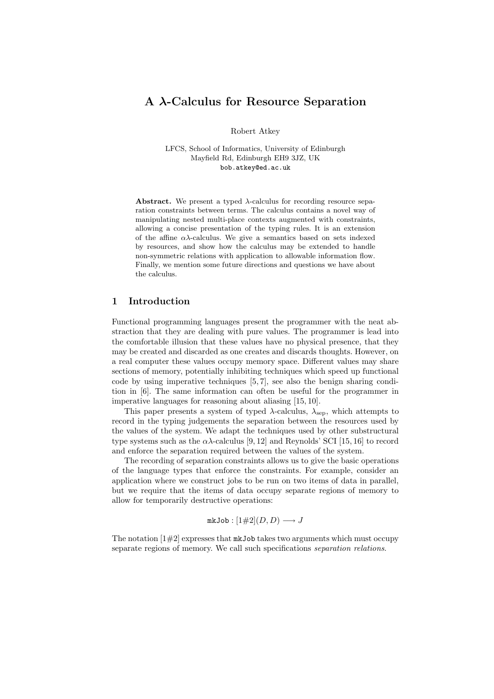# A λ-Calculus for Resource Separation

Robert Atkey

LFCS, School of Informatics, University of Edinburgh Mayfield Rd, Edinburgh EH9 3JZ, UK bob.atkey@ed.ac.uk

Abstract. We present a typed  $\lambda$ -calculus for recording resource separation constraints between terms. The calculus contains a novel way of manipulating nested multi-place contexts augmented with constraints, allowing a concise presentation of the typing rules. It is an extension of the affine  $\alpha\lambda$ -calculus. We give a semantics based on sets indexed by resources, and show how the calculus may be extended to handle non-symmetric relations with application to allowable information flow. Finally, we mention some future directions and questions we have about the calculus.

### 1 Introduction

Functional programming languages present the programmer with the neat abstraction that they are dealing with pure values. The programmer is lead into the comfortable illusion that these values have no physical presence, that they may be created and discarded as one creates and discards thoughts. However, on a real computer these values occupy memory space. Different values may share sections of memory, potentially inhibiting techniques which speed up functional code by using imperative techniques [5, 7], see also the benign sharing condition in [6]. The same information can often be useful for the programmer in imperative languages for reasoning about aliasing [15, 10].

This paper presents a system of typed  $\lambda$ -calculus,  $\lambda_{\rm sep}$ , which attempts to record in the typing judgements the separation between the resources used by the values of the system. We adapt the techniques used by other substructural type systems such as the  $\alpha\lambda$ -calculus [9, 12] and Reynolds' SCI [15, 16] to record and enforce the separation required between the values of the system.

The recording of separation constraints allows us to give the basic operations of the language types that enforce the constraints. For example, consider an application where we construct jobs to be run on two items of data in parallel, but we require that the items of data occupy separate regions of memory to allow for temporarily destructive operations:

$$
\mathtt{mkJob}:[1\#2](D,D)\longrightarrow J
$$

The notation  $[1#2]$  expresses that  $mkJob$  takes two arguments which must occupy separate regions of memory. We call such specifications separation relations.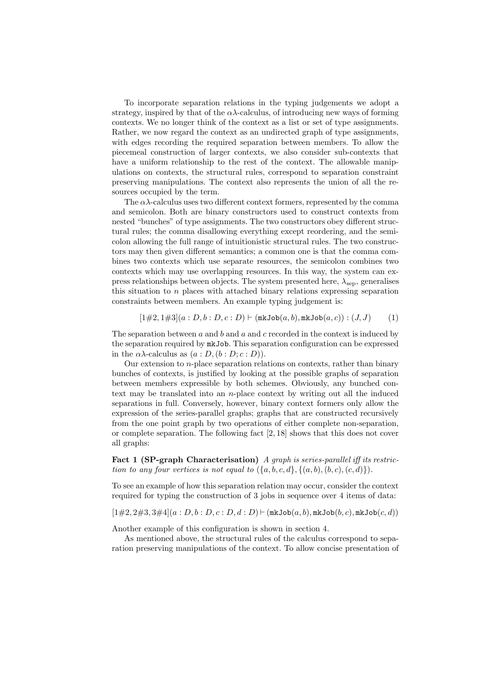To incorporate separation relations in the typing judgements we adopt a strategy, inspired by that of the  $\alpha\lambda$ -calculus, of introducing new ways of forming contexts. We no longer think of the context as a list or set of type assignments. Rather, we now regard the context as an undirected graph of type assignments, with edges recording the required separation between members. To allow the piecemeal construction of larger contexts, we also consider sub-contexts that have a uniform relationship to the rest of the context. The allowable manipulations on contexts, the structural rules, correspond to separation constraint preserving manipulations. The context also represents the union of all the resources occupied by the term.

The  $\alpha\lambda$ -calculus uses two different context formers, represented by the comma and semicolon. Both are binary constructors used to construct contexts from nested "bunches" of type assignments. The two constructors obey different structural rules; the comma disallowing everything except reordering, and the semicolon allowing the full range of intuitionistic structural rules. The two constructors may then given different semantics; a common one is that the comma combines two contexts which use separate resources, the semicolon combines two contexts which may use overlapping resources. In this way, the system can express relationships between objects. The system presented here,  $\lambda_{\rm sen}$ , generalises this situation to  $n$  places with attached binary relations expressing separation constraints between members. An example typing judgement is:

$$
[1\#2, 1\#3](a: D, b: D, c: D) \vdash (\mathtt{mkJob}(a, b), \mathtt{mkJob}(a, c)) : (J, J) \tag{1}
$$

The separation between  $a$  and  $b$  and  $a$  and  $c$  recorded in the context is induced by the separation required by mkJob. This separation configuration can be expressed in the  $\alpha\lambda$ -calculus as  $(a : D, (b : D; c : D)).$ 

Our extension to n-place separation relations on contexts, rather than binary bunches of contexts, is justified by looking at the possible graphs of separation between members expressible by both schemes. Obviously, any bunched context may be translated into an n-place context by writing out all the induced separations in full. Conversely, however, binary context formers only allow the expression of the series-parallel graphs; graphs that are constructed recursively from the one point graph by two operations of either complete non-separation, or complete separation. The following fact [2, 18] shows that this does not cover all graphs:

Fact 1 (SP-graph Characterisation) A graph is series-parallel iff its restriction to any four vertices is not equal to  $({a, b, c, d}, {(a, b), (b, c), (c, d)}).$ 

To see an example of how this separation relation may occur, consider the context required for typing the construction of 3 jobs in sequence over 4 items of data:

 $[1\#2, 2\#3, 3\#4](a : D, b : D, c : D, d : D)$   $\vdash$  (mkJob $(a, b)$ , mkJob $(b, c)$ , mkJob $(c, d)$ )

Another example of this configuration is shown in section 4.

As mentioned above, the structural rules of the calculus correspond to separation preserving manipulations of the context. To allow concise presentation of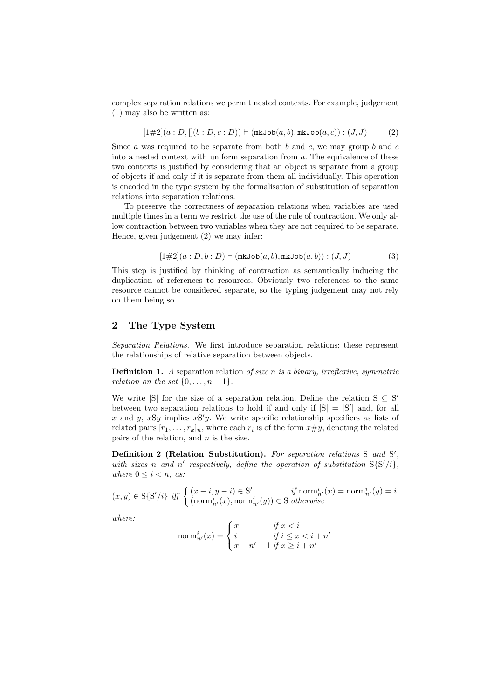complex separation relations we permit nested contexts. For example, judgement (1) may also be written as:

$$
[1\#2](a: D, [(b: D, c: D)) \vdash (\mathtt{mkJob}(a, b), \mathtt{mkJob}(a, c)) : (J, J)
$$
 (2)

Since a was required to be separate from both b and c, we may group b and c into a nested context with uniform separation from  $a$ . The equivalence of these two contexts is justified by considering that an object is separate from a group of objects if and only if it is separate from them all individually. This operation is encoded in the type system by the formalisation of substitution of separation relations into separation relations.

To preserve the correctness of separation relations when variables are used multiple times in a term we restrict the use of the rule of contraction. We only allow contraction between two variables when they are not required to be separate. Hence, given judgement (2) we may infer:

$$
[1\#2](a:D,b:D) \vdash (\mathtt{mkJob}(a,b),\mathtt{mkJob}(a,b)) : (J,J)
$$
 (3)

This step is justified by thinking of contraction as semantically inducing the duplication of references to resources. Obviously two references to the same resource cannot be considered separate, so the typing judgement may not rely on them being so.

## 2 The Type System

Separation Relations. We first introduce separation relations; these represent the relationships of relative separation between objects.

**Definition 1.** A separation relation of size n is a binary, irreflexive, symmetric relation on the set  $\{0, \ldots, n-1\}$ .

We write  $|S|$  for the size of a separation relation. Define the relation  $S \subseteq S'$ between two separation relations to hold if and only if  $|S| = |S'|$  and, for all x and y,  $xSy$  implies  $xSy$ . We write specific relationship specifiers as lists of related pairs  $[r_1, \ldots, r_k]_n$ , where each  $r_i$  is of the form  $x \# y$ , denoting the related pairs of the relation, and  $n$  is the size.

Definition 2 (Relation Substitution). For separation relations S and S', with sizes n and n' respectively, define the operation of substitution  $S\{S'/i\}$ , where  $0 \leq i \leq n$ , as:

$$
(x, y) \in \mathcal{S}\{\mathcal{S}'/i\} \text{ iff } \begin{cases} (x - i, y - i) \in \mathcal{S}' & \text{if norm}^i_{n'}(x) = \text{norm}^i_{n'}(y) = i \\ (\text{norm}^i_{n'}(x), \text{norm}^i_{n'}(y)) \in \mathcal{S} \text{ otherwise} \end{cases}
$$

where:

$$
\operatorname{norm}_{n'}^{i}(x) = \begin{cases} x & \text{if } x < i \\ i & \text{if } i \leq x < i+n' \\ x - n' + 1 & \text{if } x \geq i+n' \end{cases}
$$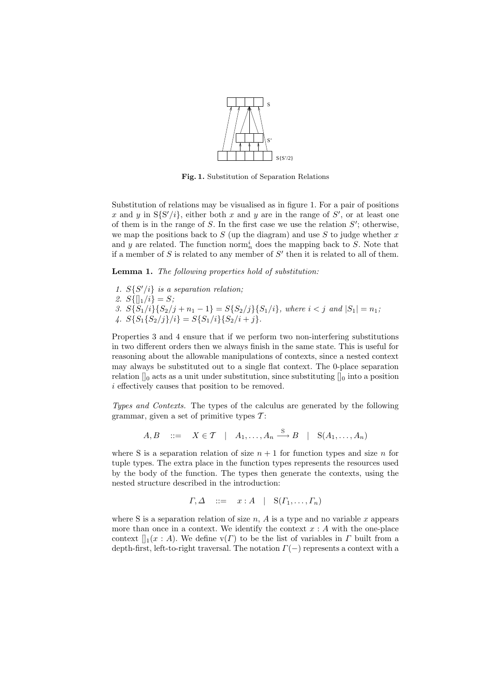

Fig. 1. Substitution of Separation Relations

Substitution of relations may be visualised as in figure 1. For a pair of positions x and y in  $S\{S'/i\}$ , either both x and y are in the range of S', or at least one of them is in the range of  $S$ . In the first case we use the relation  $S'$ ; otherwise, we map the positions back to  $S$  (up the diagram) and use  $S$  to judge whether  $x$ and y are related. The function norm<sup>i</sup><sub>n</sub> does the mapping back to S. Note that if a member of  $S$  is related to any member of  $S'$  then it is related to all of them.

Lemma 1. The following properties hold of substitution:

1.  $S\{S'/i\}$  is a separation relation; 2.  $S\{\|1/i\} = S;$ 3.  $S\{S_1/i\}\{S_2/j + n_1 - 1\} = S\{S_2/j\}\{S_1/i\}$ , where  $i < j$  and  $|S_1| = n_1$ ; 4.  $S\{S_1\{S_2/j\}/i\} = S\{S_1/i\}\{S_2/i+j\}.$ 

Properties 3 and 4 ensure that if we perform two non-interfering substitutions in two different orders then we always finish in the same state. This is useful for reasoning about the allowable manipulations of contexts, since a nested context may always be substituted out to a single flat context. The 0-place separation relation  $\int_0$  acts as a unit under substitution, since substituting  $\int_0$  into a position i effectively causes that position to be removed.

Types and Contexts. The types of the calculus are generated by the following grammar, given a set of primitive types  $\mathcal{T}$ :

 $A, B$  ::=  $X \in \mathcal{T} \mid A_1, \ldots, A_n \stackrel{S}{\longrightarrow} B \mid S(A_1, \ldots, A_n)$ 

where S is a separation relation of size  $n + 1$  for function types and size n for tuple types. The extra place in the function types represents the resources used by the body of the function. The types then generate the contexts, using the nested structure described in the introduction:

$$
\Gamma, \Delta \quad ::= \quad x:A \quad | \quad \mathcal{S}(\Gamma_1,\ldots,\Gamma_n)
$$

where S is a separation relation of size  $n$ , A is a type and no variable x appears more than once in a context. We identify the context  $x : A$  with the one-place context  $\prod_1(x : A)$ . We define  $\mathsf{v}(\Gamma)$  to be the list of variables in  $\Gamma$  built from a depth-first, left-to-right traversal. The notation  $\Gamma(-)$  represents a context with a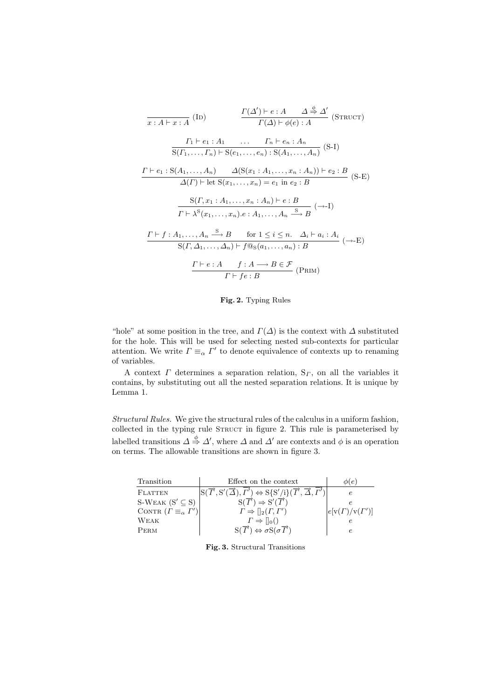$$
\frac{\Gamma(\Delta') \vdash e : A \quad \Delta \stackrel{\phi}{\Rightarrow} \Delta'}{\Gamma(\Delta) \vdash \phi(e) : A} \quad (\text{STRUCT})
$$
\n
$$
\frac{\Gamma_1 \vdash e_1 : A_1 \quad \dots \quad \Gamma_n \vdash e_n : A_n}{\Gamma(\Gamma_1, \dots, \Gamma_n) \vdash S(e_1, \dots, e_n) : S(A_1, \dots, A_n)} \quad (\text{S-I})
$$
\n
$$
\frac{\Gamma \vdash e_1 : S(A_1, \dots, A_n) \quad \Delta(S(x_1 : A_1, \dots, x_n : A_n)) \vdash e_2 : B}{\Delta(\Gamma) \vdash \text{let } S(x_1, \dots, x_n) = e_1 \text{ in } e_2 : B} \quad (\text{S-E})
$$
\n
$$
\frac{\Gamma \vdash \Gamma \cdot \lambda^{S}(x_1 : A_1, \dots, x_n : A_n) \vdash e : B}{\Gamma \vdash \lambda^{S}(x_1, \dots, x_n) \cdot e : A_1, \dots, A_n \stackrel{S}{\longrightarrow} B} \quad (\rightarrow -I)
$$
\n
$$
\frac{\Gamma \vdash f : A_1, \dots, A_n \stackrel{S}{\longrightarrow} B \quad \text{for } 1 \leq i \leq n. \quad \Delta_i \vdash a_i : A_i}{S(\Gamma, \Delta_1, \dots, \Delta_n) \vdash f @s(a_1, \dots, a_n) : B}
$$
\n
$$
\frac{\Gamma \vdash e : A \quad f : A \longrightarrow B \in \mathcal{F}}{\Gamma \vdash f e : B} \quad (\text{PRIM})
$$

Fig. 2. Typing Rules

"hole" at some position in the tree, and  $\Gamma(\Delta)$  is the context with  $\Delta$  substituted for the hole. This will be used for selecting nested sub-contexts for particular attention. We write  $\Gamma \equiv_{\alpha} \Gamma'$  to denote equivalence of contexts up to renaming of variables.

A context  $\Gamma$  determines a separation relation,  $S_{\Gamma}$ , on all the variables it contains, by substituting out all the nested separation relations. It is unique by Lemma 1.

Structural Rules. We give the structural rules of the calculus in a uniform fashion, collected in the typing rule STRUCT in figure 2. This rule is parameterised by labelled transitions  $\Delta \stackrel{\phi}{\Rightarrow} \Delta'$ , where  $\Delta$  and  $\Delta'$  are contexts and  $\phi$  is an operation on terms. The allowable transitions are shown in figure 3.

| Transition                             | Effect on the context                                                                                                                                                       | $\phi(e)$                 |
|----------------------------------------|-----------------------------------------------------------------------------------------------------------------------------------------------------------------------------|---------------------------|
| <b>FLATTEN</b>                         | $S(\overrightarrow{T},S'(\overrightarrow{\Delta}),\overrightarrow{\Gamma'}) \Leftrightarrow S\{S'/i\}(\overrightarrow{T},\overrightarrow{\Delta},\overrightarrow{\Gamma'})$ |                           |
| S-WEAK $(S' \subseteq S)$              | $S(\vec{T}) \Rightarrow S'(\vec{T})$                                                                                                                                        |                           |
| CONTR $(\Gamma \equiv_\alpha \Gamma')$ | $\Gamma \Rightarrow   _2(\Gamma, \Gamma')$                                                                                                                                  | $e[v(\Gamma)/v(\Gamma')]$ |
| WEAK                                   | $\Gamma \Rightarrow   _0()$                                                                                                                                                 |                           |
| PERM                                   | $S(\vec{T}) \Leftrightarrow \sigma S(\sigma \vec{T})$                                                                                                                       |                           |

Fig. 3. Structural Transitions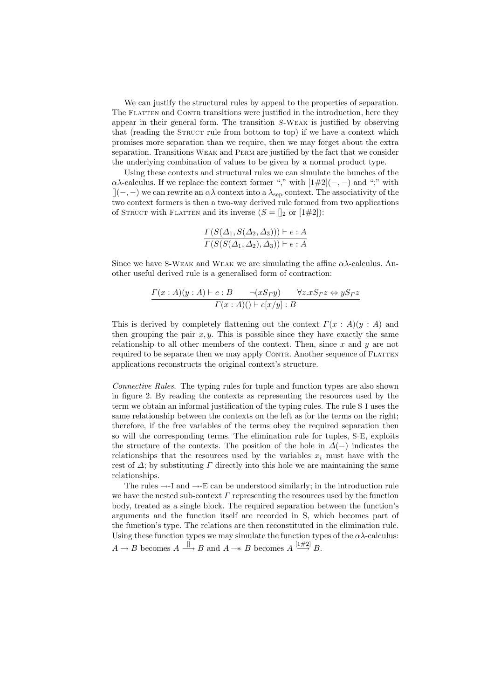We can justify the structural rules by appeal to the properties of separation. The FLATTEN and CONTR transitions were justified in the introduction, here they appear in their general form. The transition S-Weak is justified by observing that (reading the STRUCT rule from bottom to top) if we have a context which promises more separation than we require, then we may forget about the extra separation. Transitions Weak and Perm are justified by the fact that we consider the underlying combination of values to be given by a normal product type.

Using these contexts and structural rules we can simulate the bunches of the  $\alpha\lambda$ -calculus. If we replace the context former "," with  $[1\#2](-,-)$  and ";" with  $[|(-,-)$  we can rewrite an  $\alpha\lambda$  context into a  $\lambda_{\rm sep}$  context. The associativity of the two context formers is then a two-way derived rule formed from two applications of STRUCT with FLATTEN and its inverse  $(S = []_2$  or  $[1\#2]$ :

$$
\frac{\Gamma(S(\Delta_1, S(\Delta_2, \Delta_3))) \vdash e : A}{\Gamma(S(S(\Delta_1, \Delta_2), \Delta_3)) \vdash e : A}
$$

Since we have S-WEAK and WEAK we are simulating the affine  $\alpha\lambda$ -calculus. Another useful derived rule is a generalised form of contraction:

$$
\frac{\Gamma(x:A)(y:A)\vdash e:B \qquad \neg(xS_{\Gamma}y) \qquad \forall z.xS_{\Gamma}z \Leftrightarrow yS_{\Gamma}z}{\Gamma(x:A)(\vdash e[x/y]:B)}
$$

This is derived by completely flattening out the context  $\Gamma(x : A)(y : A)$  and then grouping the pair  $x, y$ . This is possible since they have exactly the same relationship to all other members of the context. Then, since  $x$  and  $y$  are not required to be separate then we may apply CONTR. Another sequence of FLATTEN applications reconstructs the original context's structure.

Connective Rules. The typing rules for tuple and function types are also shown in figure 2. By reading the contexts as representing the resources used by the term we obtain an informal justification of the typing rules. The rule S-I uses the same relationship between the contexts on the left as for the terms on the right; therefore, if the free variables of the terms obey the required separation then so will the corresponding terms. The elimination rule for tuples, S-E, exploits the structure of the contexts. The position of the hole in  $\Delta(-)$  indicates the relationships that the resources used by the variables  $x_i$  must have with the rest of  $\Delta$ ; by substituting  $\Gamma$  directly into this hole we are maintaining the same relationships.

The rules  $\rightarrow$ -I and  $\rightarrow$ -E can be understood similarly; in the introduction rule we have the nested sub-context  $\Gamma$  representing the resources used by the function body, treated as a single block. The required separation between the function's arguments and the function itself are recorded in S, which becomes part of the function's type. The relations are then reconstituted in the elimination rule. Using these function types we may simulate the function types of the  $\alpha\lambda$ -calculus:  $A \to B$  becomes  $A \stackrel{\Box}{\longrightarrow} B$  and  $A \to B$  becomes  $A \stackrel{[1\#2]}{\longrightarrow} B$ .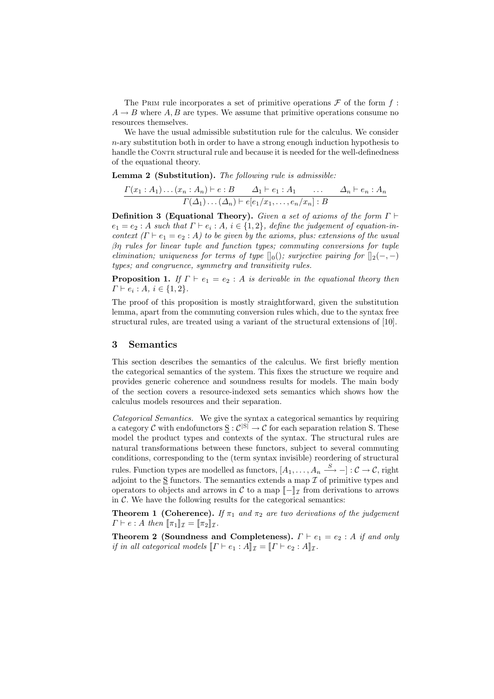The PRIM rule incorporates a set of primitive operations  $\mathcal F$  of the form f:  $A \rightarrow B$  where A, B are types. We assume that primitive operations consume no resources themselves.

We have the usual admissible substitution rule for the calculus. We consider  $n$ -ary substitution both in order to have a strong enough induction hypothesis to handle the CONTR structural rule and because it is needed for the well-definedness of the equational theory.

Lemma 2 (Substitution). The following rule is admissible:

 $\Gamma(x_1 : A_1) \dots (x_n : A_n) \vdash e : B \qquad \Delta_1 \vdash e_1 : A_1 \qquad \dots \qquad \Delta_n \vdash e_n : A_n$  $\Gamma(\Delta_1)\dots(\Delta_n) \vdash e[e_1/x_1,\dots,e_n/x_n] : B$ 

**Definition 3 (Equational Theory).** Given a set of axioms of the form  $\Gamma \vdash$  $e_1 = e_2 : A$  such that  $\Gamma \vdash e_i : A_i \in \{1,2\}$ , define the judgement of equation-incontext  $(\Gamma \vdash e_1 = e_2 : A)$  to be given by the axioms, plus: extensions of the usual βη rules for linear tuple and function types; commuting conversions for tuple elimination; uniqueness for terms of type  $[|0]($ ; surjective pairing for  $[|2(-,-)]$ types; and congruence, symmetry and transitivity rules.

**Proposition 1.** If  $\Gamma \vdash e_1 = e_2 : A$  is derivable in the equational theory then  $\Gamma \vdash e_i : A, i \in \{1, 2\}.$ 

The proof of this proposition is mostly straightforward, given the substitution lemma, apart from the commuting conversion rules which, due to the syntax free structural rules, are treated using a variant of the structural extensions of [10].

#### 3 Semantics

This section describes the semantics of the calculus. We first briefly mention the categorical semantics of the system. This fixes the structure we require and provides generic coherence and soundness results for models. The main body of the section covers a resource-indexed sets semantics which shows how the calculus models resources and their separation.

Categorical Semantics. We give the syntax a categorical semantics by requiring a category C with endofunctors  $\underline{S}: C^{|S|} \to C$  for each separation relation S. These model the product types and contexts of the syntax. The structural rules are natural transformations between these functors, subject to several commuting conditions, corresponding to the (term syntax invisible) reordering of structural rules. Function types are modelled as functors,  $[A_1, \ldots, A_n \stackrel{S}{\longrightarrow} -]: \mathcal{C} \to \mathcal{C}$ , right adjoint to the  $S$  functors. The semantics extends a map  $\mathcal I$  of primitive types and operators to objects and arrows in C to a map  $\llbracket - \rrbracket_{\mathcal{I}}$  from derivations to arrows in  $\mathcal C$ . We have the following results for the categorical semantics:

**Theorem 1 (Coherence).** If  $\pi_1$  and  $\pi_2$  are two derivations of the judgement  $\Gamma \vdash e : A \text{ then } [\![\pi_1]\!]_{\mathcal{I}} = [\![\pi_2]\!]_{\mathcal{I}}.$ 

Theorem 2 (Soundness and Completeness).  $\Gamma \vdash e_1 = e_2 : A$  if and only if in all categorical models  $\llbracket \Gamma \vdash e_1 : A \rrbracket_{\mathcal{I}} = \llbracket \Gamma \vdash e_2 : A \rrbracket_{\mathcal{I}}.$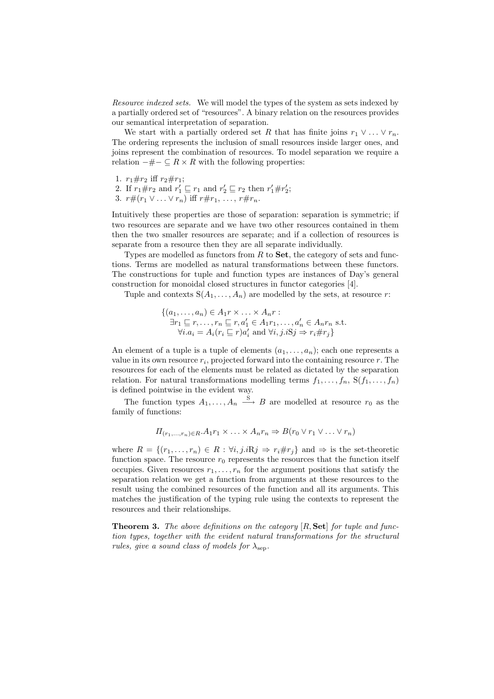Resource indexed sets. We will model the types of the system as sets indexed by a partially ordered set of "resources". A binary relation on the resources provides our semantical interpretation of separation.

We start with a partially ordered set R that has finite joins  $r_1 \vee \ldots \vee r_n$ . The ordering represents the inclusion of small resources inside larger ones, and joins represent the combination of resources. To model separation we require a relation  $-\#− ⊆ R \times R$  with the following properties:

- 1.  $r_1 \# r_2$  iff  $r_2 \# r_1$ ;
- 2. If  $r_1 \# r_2$  and  $r'_1 \sqsubseteq r_1$  and  $r'_2 \sqsubseteq r_2$  then  $r'_1 \# r'_2$ ;
- 3.  $r\#(r_1 \vee \ldots \vee r_n)$  iff  $r\#r_1, \ldots, r\#r_n$ .

Intuitively these properties are those of separation: separation is symmetric; if two resources are separate and we have two other resources contained in them then the two smaller resources are separate; and if a collection of resources is separate from a resource then they are all separate individually.

Types are modelled as functors from  $R$  to  $Set$ , the category of sets and functions. Terms are modelled as natural transformations between these functors. The constructions for tuple and function types are instances of Day's general construction for monoidal closed structures in functor categories [4].

Tuple and contexts  $S(A_1, \ldots, A_n)$  are modelled by the sets, at resource r:

$$
\{(a_1, \ldots, a_n) \in A_1 r \times \ldots \times A_n r : \n\exists r_1 \sqsubseteq r, \ldots, r_n \sqsubseteq r, a'_1 \in A_1 r_1, \ldots, a'_n \in A_n r_n \text{ s.t.} \n\forall i. a_i = A_i (r_i \sqsubseteq r) a'_i \text{ and } \forall i, j. iSj \Rightarrow r_i \# r_j \}
$$

An element of a tuple is a tuple of elements  $(a_1, \ldots, a_n)$ ; each one represents a value in its own resource  $r_i$ , projected forward into the containing resource  $r$ . The resources for each of the elements must be related as dictated by the separation relation. For natural transformations modelling terms  $f_1, \ldots, f_n$ ,  $S(f_1, \ldots, f_n)$ is defined pointwise in the evident way.

The function types  $A_1, \ldots, A_n \stackrel{S}{\longrightarrow} B$  are modelled at resource  $r_0$  as the family of functions:

$$
\Pi_{(r_1,\ldots,r_n)\in R}.\mathcal{A}_1r_1\times\ldots\times\mathcal{A}_nr_n\Rightarrow B(r_0\vee r_1\vee\ldots\vee r_n)
$$

where  $R = \{(r_1, \ldots, r_n) \in R : \forall i, j \in \mathbb{R} \} \Rightarrow r_i \# r_j \}$  and  $\Rightarrow$  is the set-theoretic function space. The resource  $r_0$  represents the resources that the function itself occupies. Given resources  $r_1, \ldots, r_n$  for the argument positions that satisfy the separation relation we get a function from arguments at these resources to the result using the combined resources of the function and all its arguments. This matches the justification of the typing rule using the contexts to represent the resources and their relationships.

**Theorem 3.** The above definitions on the category  $[R, Set]$  for tuple and function types, together with the evident natural transformations for the structural rules, give a sound class of models for  $\lambda_{\text{sep}}$ .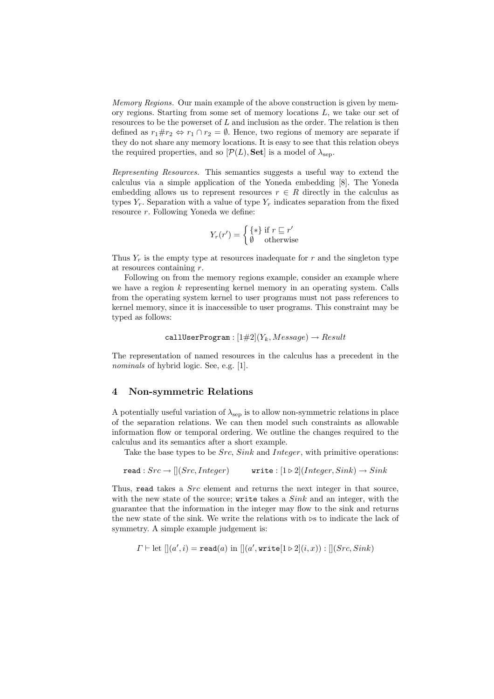Memory Regions. Our main example of the above construction is given by memory regions. Starting from some set of memory locations  $L$ , we take our set of resources to be the powerset of  $L$  and inclusion as the order. The relation is then defined as  $r_1 \# r_2 \Leftrightarrow r_1 \cap r_2 = \emptyset$ . Hence, two regions of memory are separate if they do not share any memory locations. It is easy to see that this relation obeys the required properties, and so  $[\mathcal{P}(L), \mathbf{Set}]$  is a model of  $\lambda_{\text{sep}}$ .

Representing Resources. This semantics suggests a useful way to extend the calculus via a simple application of the Yoneda embedding [8]. The Yoneda embedding allows us to represent resources  $r \in R$  directly in the calculus as types  $Y_r$ . Separation with a value of type  $Y_r$  indicates separation from the fixed resource r. Following Yoneda we define:

$$
Y_r(r') = \begin{cases} \{*\} \text{ if } r \sqsubseteq r' \\ \emptyset \quad \text{otherwise} \end{cases}
$$

Thus  $Y_r$  is the empty type at resources inadequate for r and the singleton type at resources containing  $r$ .

Following on from the memory regions example, consider an example where we have a region  $k$  representing kernel memory in an operating system. Calls from the operating system kernel to user programs must not pass references to kernel memory, since it is inaccessible to user programs. This constraint may be typed as follows:

$$
\mathtt{callUserProgram}: [1#2](Y_k, Message) \rightarrow Result
$$

The representation of named resources in the calculus has a precedent in the nominals of hybrid logic. See, e.g. [1].

#### 4 Non-symmetric Relations

A potentially useful variation of  $\lambda_{\rm sep}$  is to allow non-symmetric relations in place of the separation relations. We can then model such constraints as allowable information flow or temporal ordering. We outline the changes required to the calculus and its semantics after a short example.

Take the base types to be *Src*, *Sink* and *Integer*, with primitive operations:

$$
\mathtt{read} : {Src} \rightarrow [[(Src, Integer) \qquad \mathtt{write} : [1 \triangleright 2] (Integer, Sink) \rightarrow Sink
$$

Thus, read takes a *Src* element and returns the next integer in that source, with the new state of the source; write takes a  $Sink$  and an integer, with the guarantee that the information in the integer may flow to the sink and returns the new state of the sink. We write the relations with  $\triangleright$  s to indicate the lack of symmetry. A simple example judgement is:

$$
\Gamma \vdash \mathrm{let} \; [[a', i) = \texttt{read}(a) \; \mathrm{in} \; [[a', \texttt{write}[1 \triangleright 2](i, x)) : [[(Src, Sink)]
$$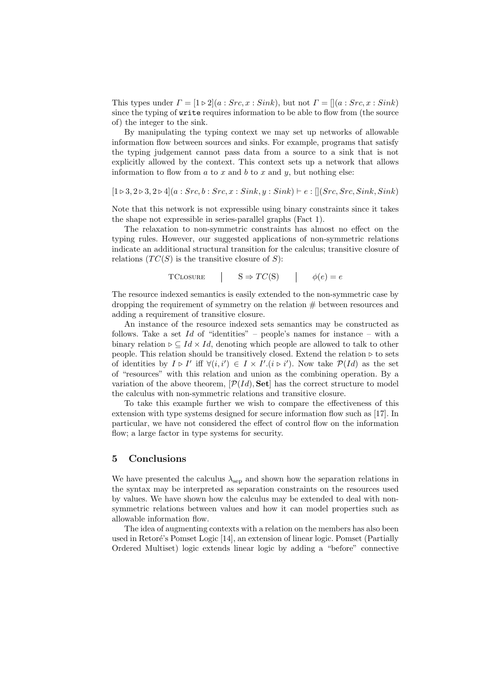This types under  $\Gamma = [1 \triangleright 2](a : Src, x : Sink)$ , but not  $\Gamma = [(a : Src, x : Sink)]$ since the typing of write requires information to be able to flow from (the source of) the integer to the sink.

By manipulating the typing context we may set up networks of allowable information flow between sources and sinks. For example, programs that satisfy the typing judgement cannot pass data from a source to a sink that is not explicitly allowed by the context. This context sets up a network that allows information to flow from  $a$  to  $x$  and  $b$  to  $x$  and  $y$ , but nothing else:

$$
[1 \triangleright 3, 2 \triangleright 3, 2 \triangleright 4] (a: {Src, b: Src, x: Sink, y: Sink}) \vdash e: [[(Src, Src, Sink, Sink)]
$$

Note that this network is not expressible using binary constraints since it takes the shape not expressible in series-parallel graphs (Fact 1).

The relaxation to non-symmetric constraints has almost no effect on the typing rules. However, our suggested applications of non-symmetric relations indicate an additional structural transition for the calculus; transitive closure of relations  $(TC(S))$  is the transitive closure of S):

$$
TCLOSURE \t | S \Rightarrow TC(S) \t | \t \phi(e) = e
$$

The resource indexed semantics is easily extended to the non-symmetric case by dropping the requirement of symmetry on the relation  $#$  between resources and adding a requirement of transitive closure.

An instance of the resource indexed sets semantics may be constructed as follows. Take a set  $Id$  of "identities" – people's names for instance – with a binary relation  $\triangleright \subseteq Id \times Id$ , denoting which people are allowed to talk to other people. This relation should be transitively closed. Extend the relation  $\triangleright$  to sets of identities by  $I \triangleright I'$  iff  $\forall (i, i') \in I \times I'.(i \triangleright i')$ . Now take  $\mathcal{P}(Id)$  as the set of "resources" with this relation and union as the combining operation. By a variation of the above theorem,  $[\mathcal{P}(Id), \mathbf{Set}]$  has the correct structure to model the calculus with non-symmetric relations and transitive closure.

To take this example further we wish to compare the effectiveness of this extension with type systems designed for secure information flow such as [17]. In particular, we have not considered the effect of control flow on the information flow; a large factor in type systems for security.

#### 5 Conclusions

We have presented the calculus  $\lambda_{\rm sep}$  and shown how the separation relations in the syntax may be interpreted as separation constraints on the resources used by values. We have shown how the calculus may be extended to deal with nonsymmetric relations between values and how it can model properties such as allowable information flow.

The idea of augmenting contexts with a relation on the members has also been used in Retoré's Pomset Logic [14], an extension of linear logic. Pomset (Partially Ordered Multiset) logic extends linear logic by adding a "before" connective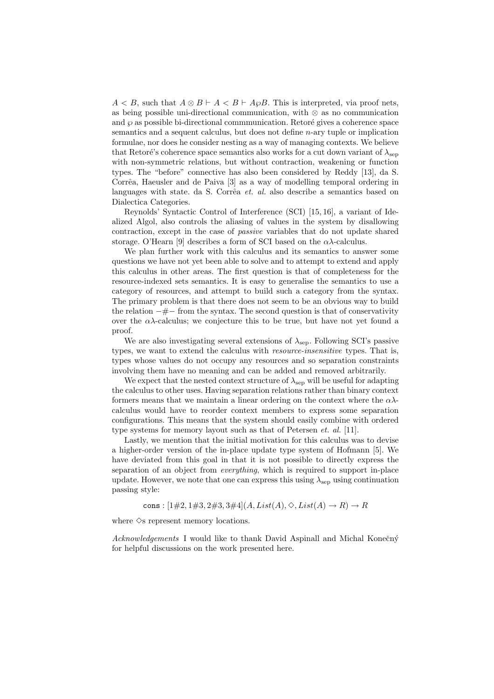$A < B$ , such that  $A \otimes B \vdash A < B \vdash A \varphi B$ . This is interpreted, via proof nets, as being possible uni-directional communication, with ⊗ as no communication and  $\wp$  as possible bi-directional commmunication. Retoré gives a coherence space semantics and a sequent calculus, but does not define  $n$ -ary tuple or implication formulae, nor does he consider nesting as a way of managing contexts. We believe that Retoré's coherence space semantics also works for a cut down variant of  $\lambda_{\rm sen}$ with non-symmetric relations, but without contraction, weakening or function types. The "before" connective has also been considered by Reddy [13], da S. Corrêa, Haeusler and de Paiva [3] as a way of modelling temporal ordering in languages with state. da S. Corrêa et. al. also describe a semantics based on Dialectica Categories.

Reynolds' Syntactic Control of Interference (SCI) [15, 16], a variant of Idealized Algol, also controls the aliasing of values in the system by disallowing contraction, except in the case of passive variables that do not update shared storage. O'Hearn [9] describes a form of SCI based on the  $\alpha\lambda$ -calculus.

We plan further work with this calculus and its semantics to answer some questions we have not yet been able to solve and to attempt to extend and apply this calculus in other areas. The first question is that of completeness for the resource-indexed sets semantics. It is easy to generalise the semantics to use a category of resources, and attempt to build such a category from the syntax. The primary problem is that there does not seem to be an obvious way to build the relation  $-\# -$  from the syntax. The second question is that of conservativity over the  $\alpha\lambda$ -calculus; we conjecture this to be true, but have not yet found a proof.

We are also investigating several extensions of  $\lambda_{\text{sep}}$ . Following SCI's passive types, we want to extend the calculus with resource-insensitive types. That is, types whose values do not occupy any resources and so separation constraints involving them have no meaning and can be added and removed arbitrarily.

We expect that the nested context structure of  $\lambda_{\text{sep}}$  will be useful for adapting the calculus to other uses. Having separation relations rather than binary context formers means that we maintain a linear ordering on the context where the  $\alpha\lambda$ calculus would have to reorder context members to express some separation configurations. This means that the system should easily combine with ordered type systems for memory layout such as that of Petersen *et. al.* [11].

Lastly, we mention that the initial motivation for this calculus was to devise a higher-order version of the in-place update type system of Hofmann [5]. We have deviated from this goal in that it is not possible to directly express the separation of an object from *everything*, which is required to support in-place update. However, we note that one can express this using  $\lambda_{\text{sep}}$  using continuation passing style:

cons :  $[1\#2, 1\#3, 2\#3, 3\#4](A, List(A), \Diamond, List(A) \rightarrow R) \rightarrow R$ 

where  $\Diamond$ s represent memory locations.

Acknowledgements I would like to thank David Aspinall and Michal Konečný for helpful discussions on the work presented here.